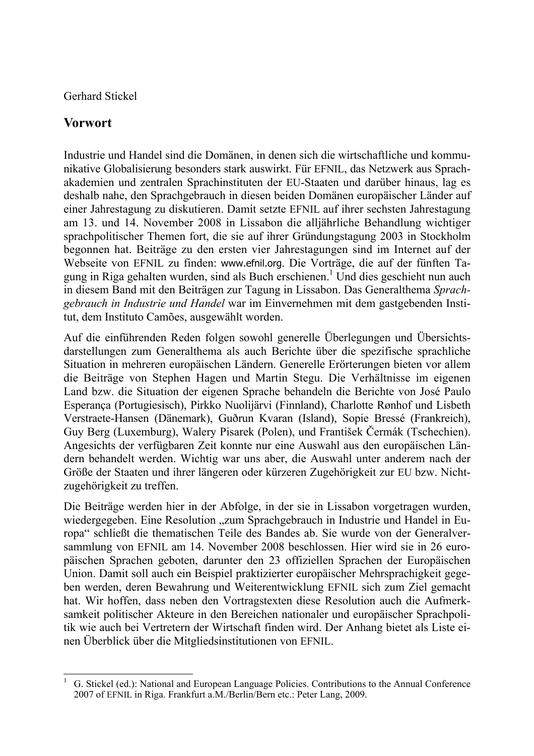Gerhard Stickel

## **Vorwort**

Industrie und Handel sind die Domänen, in denen sich die wirtschaftliche und kommunikative Globalisierung besonders stark auswirkt. Für EFNIL, das Netzwerk aus Sprachakademien und zentralen Sprachinstituten der EU-Staaten und darüber hinaus, lag es deshalb nahe, den Sprachgebrauch in diesen beiden Domänen europäischer Länder auf einer Jahrestagung zu diskutieren. Damit setzte EFNIL auf ihrer sechsten Jahrestagung am 13. und 14. November 2008 in Lissabon die alljährliche Behandlung wichtiger sprachpolitischer Themen fort, die sie auf ihrer Gründungstagung 2003 in Stockholm begonnen hat. Beiträge zu den ersten vier Jahrestagungen sind im Internet auf der Webseite von EFNIL zu finden: www.efnil.org. Die Vorträge, die auf der fünften Tagung in Riga gehalten wurden, sind als Buch erschienen.<sup>1</sup> Und dies geschieht nun auch in diesem Band mit den Beiträgen zur Tagung in Lissabon. Das Generalthema *Sprachgebrauch in Industrie und Handel* war im Einvernehmen mit dem gastgebenden Institut, dem Instituto Camões, ausgewählt worden.

Auf die einführenden Reden folgen sowohl generelle Überlegungen und Übersichtsdarstellungen zum Generalthema als auch Berichte über die spezifische sprachliche Situation in mehreren europäischen Ländern. Generelle Erörterungen bieten vor allem die Beiträge von Stephen Hagen und Martin Stegu. Die Verhältnisse im eigenen Land bzw. die Situation der eigenen Sprache behandeln die Berichte von José Paulo Esperança (Portugiesisch), Pirkko Nuolijärvi (Finnland), Charlotte Rønhof und Lisbeth Verstraete-Hansen (Dänemark), Guðrun Kvaran (Island), Sopie Bressé (Frankreich), Guy Berg (Luxemburg), Walery Pisarek (Polen), und František Čermák (Tschechien). Angesichts der verfügbaren Zeit konnte nur eine Auswahl aus den europäischen Ländern behandelt werden. Wichtig war uns aber, die Auswahl unter anderem nach der Größe der Staaten und ihrer längeren oder kürzeren Zugehörigkeit zur EU bzw. Nichtzugehörigkeit zu treffen.

Die Beiträge werden hier in der Abfolge, in der sie in Lissabon vorgetragen wurden, wiedergegeben. Eine Resolution "zum Sprachgebrauch in Industrie und Handel in Europa" schließt die thematischen Teile des Bandes ab. Sie wurde von der Generalversammlung von EFNIL am 14. November 2008 beschlossen. Hier wird sie in 26 europäischen Sprachen geboten, darunter den 23 offiziellen Sprachen der Europäischen Union. Damit soll auch ein Beispiel praktizierter europäischer Mehrsprachigkeit gegeben werden, deren Bewahrung und Weiterentwicklung EFNIL sich zum Ziel gemacht hat. Wir hoffen, dass neben den Vortragstexten diese Resolution auch die Aufmerksamkeit politischer Akteure in den Bereichen nationaler und europäischer Sprachpolitik wie auch bei Vertretern der Wirtschaft finden wird. Der Anhang bietet als Liste einen Überblick über die Mitgliedsinstitutionen von EFNIL.

 $\overline{a}$ 1 G. Stickel (ed.): National and European Language Policies. Contributions to the Annual Conference 2007 of EFNIL in Riga. Frankfurt a.M./Berlin/Bern etc.: Peter Lang, 2009.